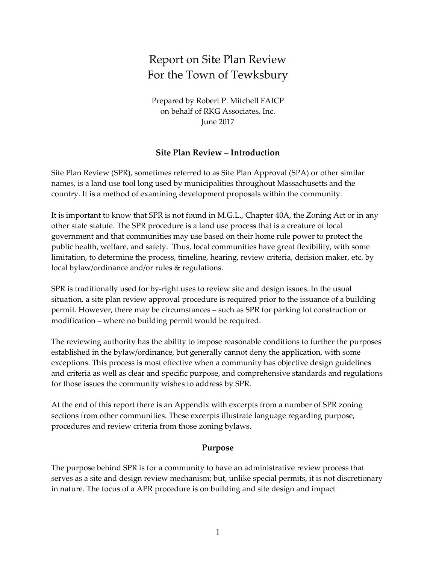# Report on Site Plan Review For the Town of Tewksbury

Prepared by Robert P. Mitchell FAICP on behalf of RKG Associates, Inc. June 2017

## **Site Plan Review – Introduction**

Site Plan Review (SPR), sometimes referred to as Site Plan Approval (SPA) or other similar names, is a land use tool long used by municipalities throughout Massachusetts and the country. It is a method of examining development proposals within the community.

It is important to know that SPR is not found in M.G.L., Chapter 40A, the Zoning Act or in any other state statute. The SPR procedure is a land use process that is a creature of local government and that communities may use based on their home rule power to protect the public health, welfare, and safety. Thus, local communities have great flexibility, with some limitation, to determine the process, timeline, hearing, review criteria, decision maker, etc. by local bylaw/ordinance and/or rules & regulations.

SPR is traditionally used for by-right uses to review site and design issues. In the usual situation, a site plan review approval procedure is required prior to the issuance of a building permit. However, there may be circumstances – such as SPR for parking lot construction or modification – where no building permit would be required.

The reviewing authority has the ability to impose reasonable conditions to further the purposes established in the bylaw/ordinance, but generally cannot deny the application, with some exceptions. This process is most effective when a community has objective design guidelines and criteria as well as clear and specific purpose, and comprehensive standards and regulations for those issues the community wishes to address by SPR.

At the end of this report there is an Appendix with excerpts from a number of SPR zoning sections from other communities. These excerpts illustrate language regarding purpose, procedures and review criteria from those zoning bylaws.

#### **Purpose**

The purpose behind SPR is for a community to have an administrative review process that serves as a site and design review mechanism; but, unlike special permits, it is not discretionary in nature. The focus of a APR procedure is on building and site design and impact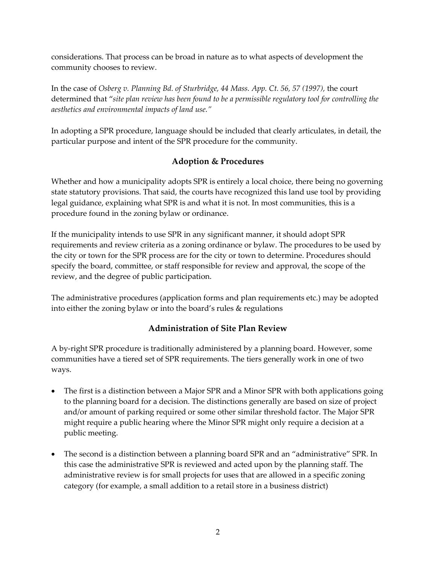considerations. That process can be broad in nature as to what aspects of development the community chooses to review.

In the case of *Osberg v. Planning Bd. of Sturbridge, 44 Mass. App. Ct. 56, 57 (1997),* the court determined that "*site plan review has been found to be a permissible regulatory tool for controlling the aesthetics and environmental impacts of land use."*

In adopting a SPR procedure, language should be included that clearly articulates, in detail, the particular purpose and intent of the SPR procedure for the community.

# **Adoption & Procedures**

Whether and how a municipality adopts SPR is entirely a local choice, there being no governing state statutory provisions. That said, the courts have recognized this land use tool by providing legal guidance, explaining what SPR is and what it is not. In most communities, this is a procedure found in the zoning bylaw or ordinance.

If the municipality intends to use SPR in any significant manner, it should adopt SPR requirements and review criteria as a zoning ordinance or bylaw. The procedures to be used by the city or town for the SPR process are for the city or town to determine. Procedures should specify the board, committee, or staff responsible for review and approval, the scope of the review, and the degree of public participation.

The administrative procedures (application forms and plan requirements etc.) may be adopted into either the zoning bylaw or into the board's rules & regulations

# **Administration of Site Plan Review**

A by-right SPR procedure is traditionally administered by a planning board. However, some communities have a tiered set of SPR requirements. The tiers generally work in one of two ways.

- The first is a distinction between a Major SPR and a Minor SPR with both applications going to the planning board for a decision. The distinctions generally are based on size of project and/or amount of parking required or some other similar threshold factor. The Major SPR might require a public hearing where the Minor SPR might only require a decision at a public meeting.
- The second is a distinction between a planning board SPR and an "administrative" SPR. In this case the administrative SPR is reviewed and acted upon by the planning staff. The administrative review is for small projects for uses that are allowed in a specific zoning category (for example, a small addition to a retail store in a business district)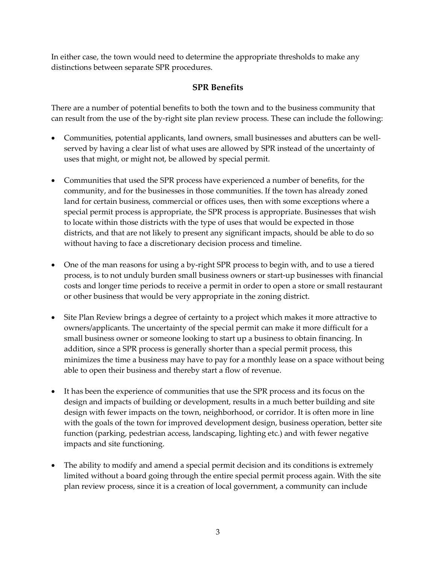In either case, the town would need to determine the appropriate thresholds to make any distinctions between separate SPR procedures.

# **SPR Benefits**

There are a number of potential benefits to both the town and to the business community that can result from the use of the by-right site plan review process. These can include the following:

- Communities, potential applicants, land owners, small businesses and abutters can be wellserved by having a clear list of what uses are allowed by SPR instead of the uncertainty of uses that might, or might not, be allowed by special permit.
- Communities that used the SPR process have experienced a number of benefits, for the community, and for the businesses in those communities. If the town has already zoned land for certain business, commercial or offices uses, then with some exceptions where a special permit process is appropriate, the SPR process is appropriate. Businesses that wish to locate within those districts with the type of uses that would be expected in those districts, and that are not likely to present any significant impacts, should be able to do so without having to face a discretionary decision process and timeline.
- One of the man reasons for using a by-right SPR process to begin with, and to use a tiered process, is to not unduly burden small business owners or start-up businesses with financial costs and longer time periods to receive a permit in order to open a store or small restaurant or other business that would be very appropriate in the zoning district.
- Site Plan Review brings a degree of certainty to a project which makes it more attractive to owners/applicants. The uncertainty of the special permit can make it more difficult for a small business owner or someone looking to start up a business to obtain financing. In addition, since a SPR process is generally shorter than a special permit process, this minimizes the time a business may have to pay for a monthly lease on a space without being able to open their business and thereby start a flow of revenue.
- It has been the experience of communities that use the SPR process and its focus on the design and impacts of building or development, results in a much better building and site design with fewer impacts on the town, neighborhood, or corridor. It is often more in line with the goals of the town for improved development design, business operation, better site function (parking, pedestrian access, landscaping, lighting etc.) and with fewer negative impacts and site functioning.
- The ability to modify and amend a special permit decision and its conditions is extremely limited without a board going through the entire special permit process again. With the site plan review process, since it is a creation of local government, a community can include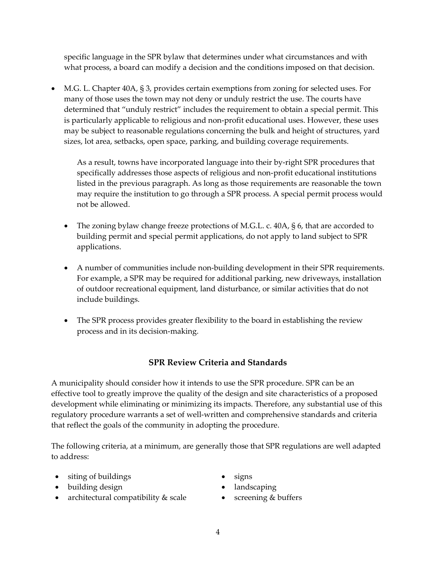specific language in the SPR bylaw that determines under what circumstances and with what process, a board can modify a decision and the conditions imposed on that decision.

• M.G. L. Chapter 40A, § 3, provides certain exemptions from zoning for selected uses. For many of those uses the town may not deny or unduly restrict the use. The courts have determined that "unduly restrict" includes the requirement to obtain a special permit. This is particularly applicable to religious and non-profit educational uses. However, these uses may be subject to reasonable regulations concerning the bulk and height of structures, yard sizes, lot area, setbacks, open space, parking, and building coverage requirements.

As a result, towns have incorporated language into their by-right SPR procedures that specifically addresses those aspects of religious and non-profit educational institutions listed in the previous paragraph. As long as those requirements are reasonable the town may require the institution to go through a SPR process. A special permit process would not be allowed.

- The zoning bylaw change freeze protections of M.G.L. c. 40A, § 6, that are accorded to building permit and special permit applications, do not apply to land subject to SPR applications.
- A number of communities include non-building development in their SPR requirements. For example, a SPR may be required for additional parking, new driveways, installation of outdoor recreational equipment, land disturbance, or similar activities that do not include buildings.
- The SPR process provides greater flexibility to the board in establishing the review process and in its decision-making.

# **SPR Review Criteria and Standards**

A municipality should consider how it intends to use the SPR procedure. SPR can be an effective tool to greatly improve the quality of the design and site characteristics of a proposed development while eliminating or minimizing its impacts. Therefore, any substantial use of this regulatory procedure warrants a set of well-written and comprehensive standards and criteria that reflect the goals of the community in adopting the procedure.

The following criteria, at a minimum, are generally those that SPR regulations are well adapted to address:

- siting of buildings signs
- building design landscaping
- architectural compatibility & scale screening & buffers
- 
- 
-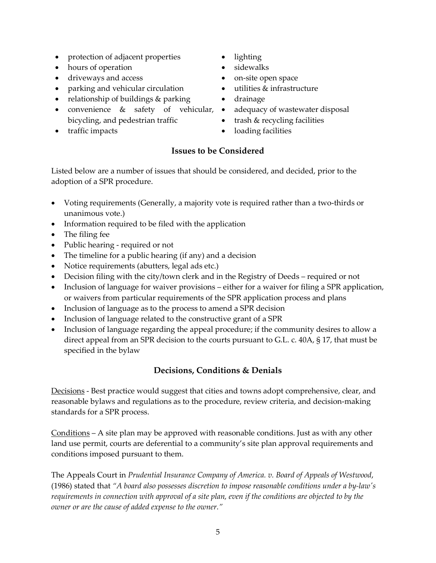- protection of adjacent properties lighting
- hours of operation sidewalks
- driveways and access on-site open space
- parking and vehicular circulation utilities & infrastructure
- relationship of buildings & parking drainage
- convenience & safety of vehicular, bicycling, and pedestrian traffic
- 
- 
- 
- 
- 
- 
- adequacy of wastewater disposal
- trash & recycling facilities
- traffic impacts loading facilities

# **Issues to be Considered**

Listed below are a number of issues that should be considered, and decided, prior to the adoption of a SPR procedure.

- Voting requirements (Generally, a majority vote is required rather than a two-thirds or unanimous vote.)
- Information required to be filed with the application
- The filing fee
- Public hearing required or not
- The timeline for a public hearing (if any) and a decision
- Notice requirements (abutters, legal ads etc.)
- Decision filing with the city/town clerk and in the Registry of Deeds required or not
- Inclusion of language for waiver provisions either for a waiver for filing a SPR application, or waivers from particular requirements of the SPR application process and plans
- Inclusion of language as to the process to amend a SPR decision
- Inclusion of language related to the constructive grant of a SPR
- Inclusion of language regarding the appeal procedure; if the community desires to allow a direct appeal from an SPR decision to the courts pursuant to G.L. c. 40A, § 17, that must be specified in the bylaw

# **Decisions, Conditions & Denials**

Decisions - Best practice would suggest that cities and towns adopt comprehensive, clear, and reasonable bylaws and regulations as to the procedure, review criteria, and decision-making standards for a SPR process.

Conditions – A site plan may be approved with reasonable conditions. Just as with any other land use permit, courts are deferential to a community's site plan approval requirements and conditions imposed pursuant to them.

The Appeals Court in *Prudential Insurance Company of America. v. Board of Appeals of Westwood*, (1986) stated that *"A board also possesses discretion to impose reasonable conditions under a by-law's requirements in connection with approval of a site plan, even if the conditions are objected to by the owner or are the cause of added expense to the owner."*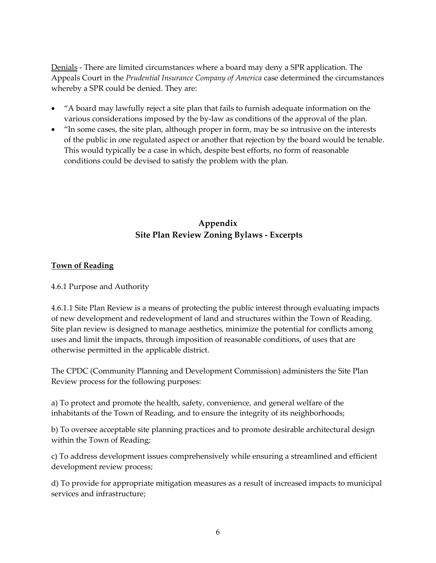Denials - There are limited circumstances where a board may deny a SPR application. The Appeals Court in the *Prudential Insurance Company of America* case determined the circumstances whereby a SPR could be denied. They are:

- "A board may lawfully reject a site plan that fails to furnish adequate information on the various considerations imposed by the by-law as conditions of the approval of the plan.
- "In some cases, the site plan, although proper in form, may be so intrusive on the interests of the public in one regulated aspect or another that rejection by the board would be tenable. This would typically be a case in which, despite best efforts, no form of reasonable conditions could be devised to satisfy the problem with the plan.

# **Appendix Site Plan Review Zoning Bylaws - Excerpts**

# **Town of Reading**

4.6.1 Purpose and Authority

4.6.1.1 Site Plan Review is a means of protecting the public interest through evaluating impacts of new development and redevelopment of land and structures within the Town of Reading. Site plan review is designed to manage aesthetics, minimize the potential for conflicts among uses and limit the impacts, through imposition of reasonable conditions, of uses that are otherwise permitted in the applicable district.

The CPDC (Community Planning and Development Commission) administers the Site Plan Review process for the following purposes:

a) To protect and promote the health, safety, convenience, and general welfare of the inhabitants of the Town of Reading, and to ensure the integrity of its neighborhoods;

b) To oversee acceptable site planning practices and to promote desirable architectural design within the Town of Reading;

c) To address development issues comprehensively while ensuring a streamlined and efficient development review process;

d) To provide for appropriate mitigation measures as a result of increased impacts to municipal services and infrastructure;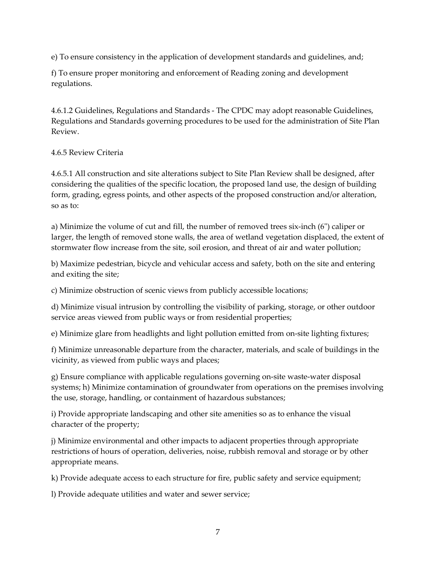e) To ensure consistency in the application of development standards and guidelines, and;

f) To ensure proper monitoring and enforcement of Reading zoning and development regulations.

4.6.1.2 Guidelines, Regulations and Standards - The CPDC may adopt reasonable Guidelines, Regulations and Standards governing procedures to be used for the administration of Site Plan Review.

## 4.6.5 Review Criteria

4.6.5.1 All construction and site alterations subject to Site Plan Review shall be designed, after considering the qualities of the specific location, the proposed land use, the design of building form, grading, egress points, and other aspects of the proposed construction and/or alteration, so as to:

a) Minimize the volume of cut and fill, the number of removed trees six-inch (6") caliper or larger, the length of removed stone walls, the area of wetland vegetation displaced, the extent of stormwater flow increase from the site, soil erosion, and threat of air and water pollution;

b) Maximize pedestrian, bicycle and vehicular access and safety, both on the site and entering and exiting the site;

c) Minimize obstruction of scenic views from publicly accessible locations;

d) Minimize visual intrusion by controlling the visibility of parking, storage, or other outdoor service areas viewed from public ways or from residential properties;

e) Minimize glare from headlights and light pollution emitted from on-site lighting fixtures;

f) Minimize unreasonable departure from the character, materials, and scale of buildings in the vicinity, as viewed from public ways and places;

g) Ensure compliance with applicable regulations governing on-site waste-water disposal systems; h) Minimize contamination of groundwater from operations on the premises involving the use, storage, handling, or containment of hazardous substances;

i) Provide appropriate landscaping and other site amenities so as to enhance the visual character of the property;

j) Minimize environmental and other impacts to adjacent properties through appropriate restrictions of hours of operation, deliveries, noise, rubbish removal and storage or by other appropriate means.

k) Provide adequate access to each structure for fire, public safety and service equipment;

l) Provide adequate utilities and water and sewer service;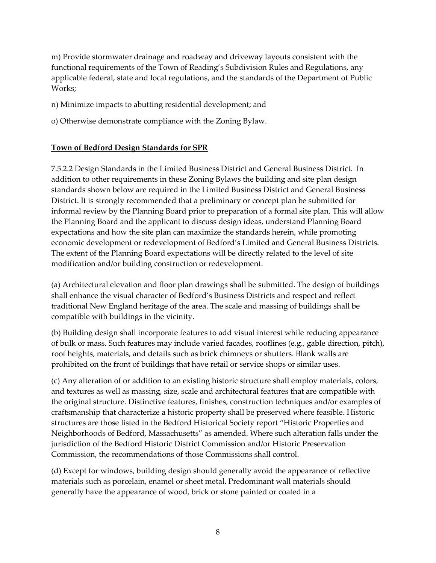m) Provide stormwater drainage and roadway and driveway layouts consistent with the functional requirements of the Town of Reading's Subdivision Rules and Regulations, any applicable federal, state and local regulations, and the standards of the Department of Public Works;

n) Minimize impacts to abutting residential development; and

o) Otherwise demonstrate compliance with the Zoning Bylaw.

# **Town of Bedford Design Standards for SPR**

7.5.2.2 Design Standards in the Limited Business District and General Business District. In addition to other requirements in these Zoning Bylaws the building and site plan design standards shown below are required in the Limited Business District and General Business District. It is strongly recommended that a preliminary or concept plan be submitted for informal review by the Planning Board prior to preparation of a formal site plan. This will allow the Planning Board and the applicant to discuss design ideas, understand Planning Board expectations and how the site plan can maximize the standards herein, while promoting economic development or redevelopment of Bedford's Limited and General Business Districts. The extent of the Planning Board expectations will be directly related to the level of site modification and/or building construction or redevelopment.

(a) Architectural elevation and floor plan drawings shall be submitted. The design of buildings shall enhance the visual character of Bedford's Business Districts and respect and reflect traditional New England heritage of the area. The scale and massing of buildings shall be compatible with buildings in the vicinity.

(b) Building design shall incorporate features to add visual interest while reducing appearance of bulk or mass. Such features may include varied facades, rooflines (e.g., gable direction, pitch), roof heights, materials, and details such as brick chimneys or shutters. Blank walls are prohibited on the front of buildings that have retail or service shops or similar uses.

(c) Any alteration of or addition to an existing historic structure shall employ materials, colors, and textures as well as massing, size, scale and architectural features that are compatible with the original structure. Distinctive features, finishes, construction techniques and/or examples of craftsmanship that characterize a historic property shall be preserved where feasible. Historic structures are those listed in the Bedford Historical Society report "Historic Properties and Neighborhoods of Bedford, Massachusetts" as amended. Where such alteration falls under the jurisdiction of the Bedford Historic District Commission and/or Historic Preservation Commission, the recommendations of those Commissions shall control.

(d) Except for windows, building design should generally avoid the appearance of reflective materials such as porcelain, enamel or sheet metal. Predominant wall materials should generally have the appearance of wood, brick or stone painted or coated in a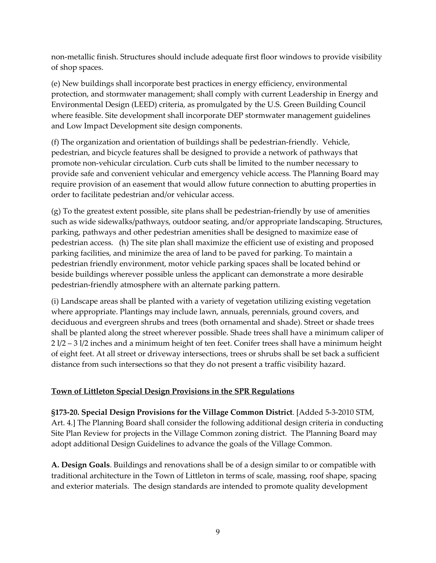non-metallic finish. Structures should include adequate first floor windows to provide visibility of shop spaces.

(e) New buildings shall incorporate best practices in energy efficiency, environmental protection, and stormwater management; shall comply with current Leadership in Energy and Environmental Design (LEED) criteria, as promulgated by the U.S. Green Building Council where feasible. Site development shall incorporate DEP stormwater management guidelines and Low Impact Development site design components.

(f) The organization and orientation of buildings shall be pedestrian-friendly. Vehicle, pedestrian, and bicycle features shall be designed to provide a network of pathways that promote non-vehicular circulation. Curb cuts shall be limited to the number necessary to provide safe and convenient vehicular and emergency vehicle access. The Planning Board may require provision of an easement that would allow future connection to abutting properties in order to facilitate pedestrian and/or vehicular access.

(g) To the greatest extent possible, site plans shall be pedestrian-friendly by use of amenities such as wide sidewalks/pathways, outdoor seating, and/or appropriate landscaping. Structures, parking, pathways and other pedestrian amenities shall be designed to maximize ease of pedestrian access. (h) The site plan shall maximize the efficient use of existing and proposed parking facilities, and minimize the area of land to be paved for parking. To maintain a pedestrian friendly environment, motor vehicle parking spaces shall be located behind or beside buildings wherever possible unless the applicant can demonstrate a more desirable pedestrian-friendly atmosphere with an alternate parking pattern.

(i) Landscape areas shall be planted with a variety of vegetation utilizing existing vegetation where appropriate. Plantings may include lawn, annuals, perennials, ground covers, and deciduous and evergreen shrubs and trees (both ornamental and shade). Street or shade trees shall be planted along the street wherever possible. Shade trees shall have a minimum caliper of 2 l/2 – 3 l/2 inches and a minimum height of ten feet. Conifer trees shall have a minimum height of eight feet. At all street or driveway intersections, trees or shrubs shall be set back a sufficient distance from such intersections so that they do not present a traffic visibility hazard.

## **Town of Littleton Special Design Provisions in the SPR Regulations**

**§173-20. Special Design Provisions for the Village Common District**. [Added 5-3-2010 STM, Art. 4.] The Planning Board shall consider the following additional design criteria in conducting Site Plan Review for projects in the Village Common zoning district. The Planning Board may adopt additional Design Guidelines to advance the goals of the Village Common.

**A. Design Goals**. Buildings and renovations shall be of a design similar to or compatible with traditional architecture in the Town of Littleton in terms of scale, massing, roof shape, spacing and exterior materials. The design standards are intended to promote quality development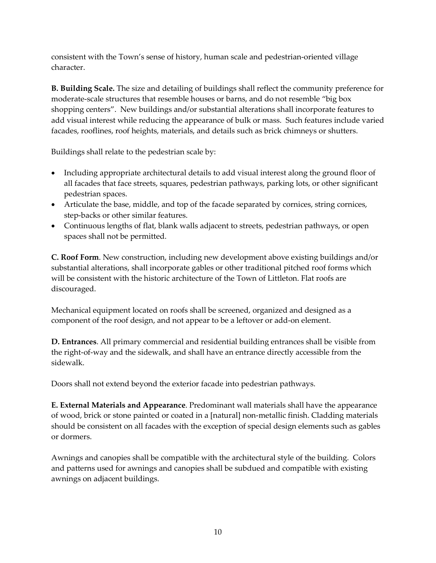consistent with the Town's sense of history, human scale and pedestrian-oriented village character.

**B. Building Scale.** The size and detailing of buildings shall reflect the community preference for moderate-scale structures that resemble houses or barns, and do not resemble "big box shopping centers". New buildings and/or substantial alterations shall incorporate features to add visual interest while reducing the appearance of bulk or mass. Such features include varied facades, rooflines, roof heights, materials, and details such as brick chimneys or shutters.

Buildings shall relate to the pedestrian scale by:

- Including appropriate architectural details to add visual interest along the ground floor of all facades that face streets, squares, pedestrian pathways, parking lots, or other significant pedestrian spaces.
- Articulate the base, middle, and top of the facade separated by cornices, string cornices, step-backs or other similar features.
- Continuous lengths of flat, blank walls adjacent to streets, pedestrian pathways, or open spaces shall not be permitted.

**C. Roof Form**. New construction, including new development above existing buildings and/or substantial alterations, shall incorporate gables or other traditional pitched roof forms which will be consistent with the historic architecture of the Town of Littleton. Flat roofs are discouraged.

Mechanical equipment located on roofs shall be screened, organized and designed as a component of the roof design, and not appear to be a leftover or add-on element.

**D. Entrances**. All primary commercial and residential building entrances shall be visible from the right-of-way and the sidewalk, and shall have an entrance directly accessible from the sidewalk.

Doors shall not extend beyond the exterior facade into pedestrian pathways.

**E. External Materials and Appearance**. Predominant wall materials shall have the appearance of wood, brick or stone painted or coated in a [natural] non-metallic finish. Cladding materials should be consistent on all facades with the exception of special design elements such as gables or dormers.

Awnings and canopies shall be compatible with the architectural style of the building. Colors and patterns used for awnings and canopies shall be subdued and compatible with existing awnings on adjacent buildings.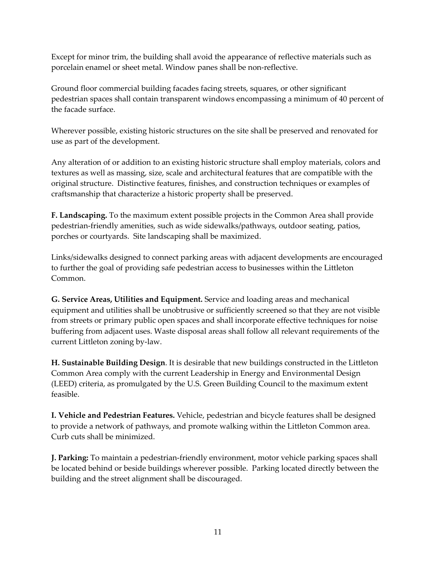Except for minor trim, the building shall avoid the appearance of reflective materials such as porcelain enamel or sheet metal. Window panes shall be non-reflective.

Ground floor commercial building facades facing streets, squares, or other significant pedestrian spaces shall contain transparent windows encompassing a minimum of 40 percent of the facade surface.

Wherever possible, existing historic structures on the site shall be preserved and renovated for use as part of the development.

Any alteration of or addition to an existing historic structure shall employ materials, colors and textures as well as massing, size, scale and architectural features that are compatible with the original structure. Distinctive features, finishes, and construction techniques or examples of craftsmanship that characterize a historic property shall be preserved.

**F. Landscaping.** To the maximum extent possible projects in the Common Area shall provide pedestrian-friendly amenities, such as wide sidewalks/pathways, outdoor seating, patios, porches or courtyards. Site landscaping shall be maximized.

Links/sidewalks designed to connect parking areas with adjacent developments are encouraged to further the goal of providing safe pedestrian access to businesses within the Littleton Common.

**G. Service Areas, Utilities and Equipment.** Service and loading areas and mechanical equipment and utilities shall be unobtrusive or sufficiently screened so that they are not visible from streets or primary public open spaces and shall incorporate effective techniques for noise buffering from adjacent uses. Waste disposal areas shall follow all relevant requirements of the current Littleton zoning by-law.

**H. Sustainable Building Design**. It is desirable that new buildings constructed in the Littleton Common Area comply with the current Leadership in Energy and Environmental Design (LEED) criteria, as promulgated by the U.S. Green Building Council to the maximum extent feasible.

**I. Vehicle and Pedestrian Features.** Vehicle, pedestrian and bicycle features shall be designed to provide a network of pathways, and promote walking within the Littleton Common area. Curb cuts shall be minimized.

**J. Parking:** To maintain a pedestrian-friendly environment, motor vehicle parking spaces shall be located behind or beside buildings wherever possible. Parking located directly between the building and the street alignment shall be discouraged.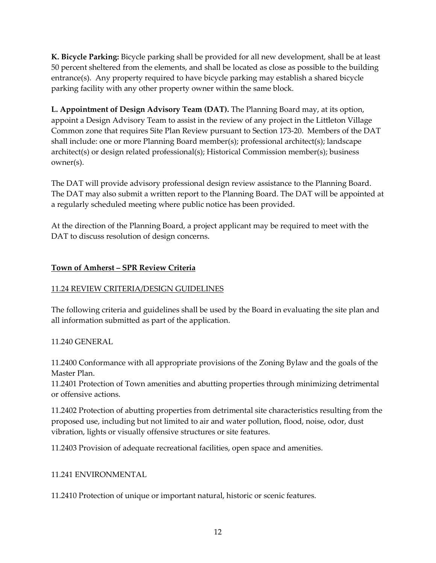**K. Bicycle Parking:** Bicycle parking shall be provided for all new development, shall be at least 50 percent sheltered from the elements, and shall be located as close as possible to the building entrance(s). Any property required to have bicycle parking may establish a shared bicycle parking facility with any other property owner within the same block.

**L. Appointment of Design Advisory Team (DAT).** The Planning Board may, at its option, appoint a Design Advisory Team to assist in the review of any project in the Littleton Village Common zone that requires Site Plan Review pursuant to Section 173-20. Members of the DAT shall include: one or more Planning Board member(s); professional architect(s); landscape architect(s) or design related professional(s); Historical Commission member(s); business owner(s).

The DAT will provide advisory professional design review assistance to the Planning Board. The DAT may also submit a written report to the Planning Board. The DAT will be appointed at a regularly scheduled meeting where public notice has been provided.

At the direction of the Planning Board, a project applicant may be required to meet with the DAT to discuss resolution of design concerns.

# **Town of Amherst – SPR Review Criteria**

## 11.24 REVIEW CRITERIA/DESIGN GUIDELINES

The following criteria and guidelines shall be used by the Board in evaluating the site plan and all information submitted as part of the application.

## 11.240 GENERAL

11.2400 Conformance with all appropriate provisions of the Zoning Bylaw and the goals of the Master Plan.

11.2401 Protection of Town amenities and abutting properties through minimizing detrimental or offensive actions.

11.2402 Protection of abutting properties from detrimental site characteristics resulting from the proposed use, including but not limited to air and water pollution, flood, noise, odor, dust vibration, lights or visually offensive structures or site features.

11.2403 Provision of adequate recreational facilities, open space and amenities.

## 11.241 ENVIRONMENTAL

11.2410 Protection of unique or important natural, historic or scenic features.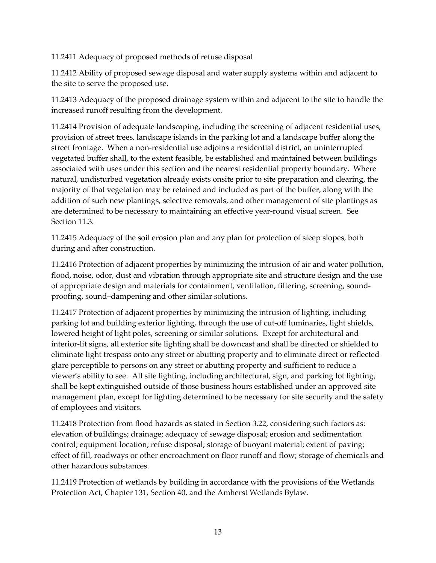11.2411 Adequacy of proposed methods of refuse disposal

11.2412 Ability of proposed sewage disposal and water supply systems within and adjacent to the site to serve the proposed use.

11.2413 Adequacy of the proposed drainage system within and adjacent to the site to handle the increased runoff resulting from the development.

11.2414 Provision of adequate landscaping, including the screening of adjacent residential uses, provision of street trees, landscape islands in the parking lot and a landscape buffer along the street frontage. When a non-residential use adjoins a residential district, an uninterrupted vegetated buffer shall, to the extent feasible, be established and maintained between buildings associated with uses under this section and the nearest residential property boundary. Where natural, undisturbed vegetation already exists onsite prior to site preparation and clearing, the majority of that vegetation may be retained and included as part of the buffer, along with the addition of such new plantings, selective removals, and other management of site plantings as are determined to be necessary to maintaining an effective year-round visual screen. See Section 11.3.

11.2415 Adequacy of the soil erosion plan and any plan for protection of steep slopes, both during and after construction.

11.2416 Protection of adjacent properties by minimizing the intrusion of air and water pollution, flood, noise, odor, dust and vibration through appropriate site and structure design and the use of appropriate design and materials for containment, ventilation, filtering, screening, soundproofing, sound–dampening and other similar solutions.

11.2417 Protection of adjacent properties by minimizing the intrusion of lighting, including parking lot and building exterior lighting, through the use of cut-off luminaries, light shields, lowered height of light poles, screening or similar solutions. Except for architectural and interior-lit signs, all exterior site lighting shall be downcast and shall be directed or shielded to eliminate light trespass onto any street or abutting property and to eliminate direct or reflected glare perceptible to persons on any street or abutting property and sufficient to reduce a viewer's ability to see. All site lighting, including architectural, sign, and parking lot lighting, shall be kept extinguished outside of those business hours established under an approved site management plan, except for lighting determined to be necessary for site security and the safety of employees and visitors.

11.2418 Protection from flood hazards as stated in Section 3.22, considering such factors as: elevation of buildings; drainage; adequacy of sewage disposal; erosion and sedimentation control; equipment location; refuse disposal; storage of buoyant material; extent of paving; effect of fill, roadways or other encroachment on floor runoff and flow; storage of chemicals and other hazardous substances.

11.2419 Protection of wetlands by building in accordance with the provisions of the Wetlands Protection Act, Chapter 131, Section 40, and the Amherst Wetlands Bylaw.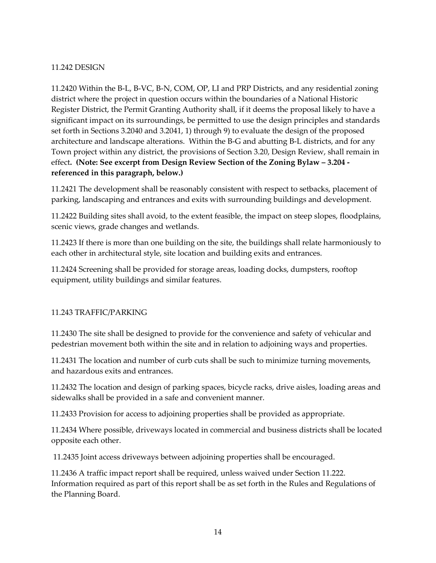#### 11.242 DESIGN

11.2420 Within the B-L, B-VC, B-N, COM, OP, LI and PRP Districts, and any residential zoning district where the project in question occurs within the boundaries of a National Historic Register District, the Permit Granting Authority shall, if it deems the proposal likely to have a significant impact on its surroundings, be permitted to use the design principles and standards set forth in Sections 3.2040 and 3.2041, 1) through 9) to evaluate the design of the proposed architecture and landscape alterations. Within the B-G and abutting B-L districts, and for any Town project within any district, the provisions of Section 3.20, Design Review, shall remain in effect**. (Note: See excerpt from Design Review Section of the Zoning Bylaw – 3.204 referenced in this paragraph, below.)**

11.2421 The development shall be reasonably consistent with respect to setbacks, placement of parking, landscaping and entrances and exits with surrounding buildings and development.

11.2422 Building sites shall avoid, to the extent feasible, the impact on steep slopes, floodplains, scenic views, grade changes and wetlands.

11.2423 If there is more than one building on the site, the buildings shall relate harmoniously to each other in architectural style, site location and building exits and entrances.

11.2424 Screening shall be provided for storage areas, loading docks, dumpsters, rooftop equipment, utility buildings and similar features.

## 11.243 TRAFFIC/PARKING

11.2430 The site shall be designed to provide for the convenience and safety of vehicular and pedestrian movement both within the site and in relation to adjoining ways and properties.

11.2431 The location and number of curb cuts shall be such to minimize turning movements, and hazardous exits and entrances.

11.2432 The location and design of parking spaces, bicycle racks, drive aisles, loading areas and sidewalks shall be provided in a safe and convenient manner.

11.2433 Provision for access to adjoining properties shall be provided as appropriate.

11.2434 Where possible, driveways located in commercial and business districts shall be located opposite each other.

11.2435 Joint access driveways between adjoining properties shall be encouraged.

11.2436 A traffic impact report shall be required, unless waived under Section 11.222. Information required as part of this report shall be as set forth in the Rules and Regulations of the Planning Board.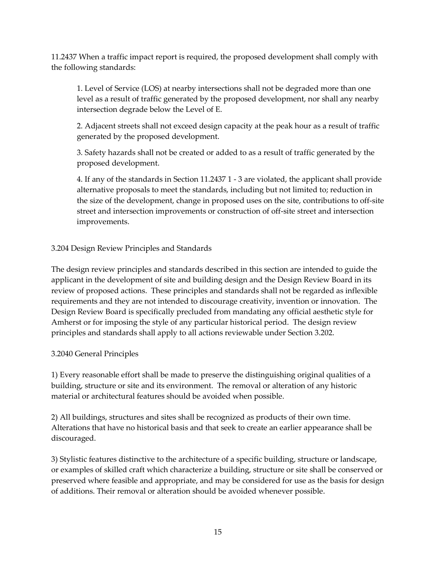11.2437 When a traffic impact report is required, the proposed development shall comply with the following standards:

1. Level of Service (LOS) at nearby intersections shall not be degraded more than one level as a result of traffic generated by the proposed development, nor shall any nearby intersection degrade below the Level of E.

2. Adjacent streets shall not exceed design capacity at the peak hour as a result of traffic generated by the proposed development.

3. Safety hazards shall not be created or added to as a result of traffic generated by the proposed development.

4. If any of the standards in Section 11.2437 1 - 3 are violated, the applicant shall provide alternative proposals to meet the standards, including but not limited to; reduction in the size of the development, change in proposed uses on the site, contributions to off-site street and intersection improvements or construction of off-site street and intersection improvements.

# 3.204 Design Review Principles and Standards

The design review principles and standards described in this section are intended to guide the applicant in the development of site and building design and the Design Review Board in its review of proposed actions. These principles and standards shall not be regarded as inflexible requirements and they are not intended to discourage creativity, invention or innovation. The Design Review Board is specifically precluded from mandating any official aesthetic style for Amherst or for imposing the style of any particular historical period. The design review principles and standards shall apply to all actions reviewable under Section 3.202.

## 3.2040 General Principles

1) Every reasonable effort shall be made to preserve the distinguishing original qualities of a building, structure or site and its environment. The removal or alteration of any historic material or architectural features should be avoided when possible.

2) All buildings, structures and sites shall be recognized as products of their own time. Alterations that have no historical basis and that seek to create an earlier appearance shall be discouraged.

3) Stylistic features distinctive to the architecture of a specific building, structure or landscape, or examples of skilled craft which characterize a building, structure or site shall be conserved or preserved where feasible and appropriate, and may be considered for use as the basis for design of additions. Their removal or alteration should be avoided whenever possible.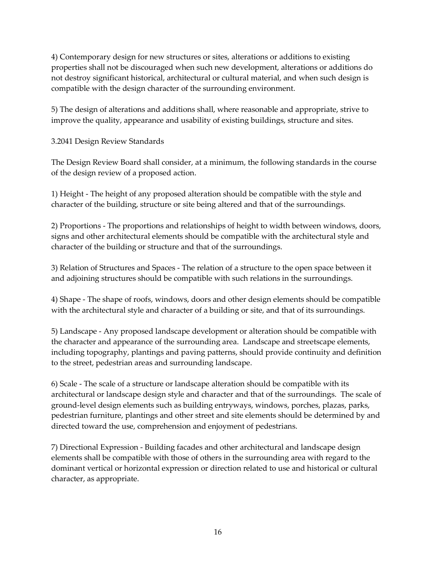4) Contemporary design for new structures or sites, alterations or additions to existing properties shall not be discouraged when such new development, alterations or additions do not destroy significant historical, architectural or cultural material, and when such design is compatible with the design character of the surrounding environment.

5) The design of alterations and additions shall, where reasonable and appropriate, strive to improve the quality, appearance and usability of existing buildings, structure and sites.

3.2041 Design Review Standards

The Design Review Board shall consider, at a minimum, the following standards in the course of the design review of a proposed action.

1) Height - The height of any proposed alteration should be compatible with the style and character of the building, structure or site being altered and that of the surroundings.

2) Proportions - The proportions and relationships of height to width between windows, doors, signs and other architectural elements should be compatible with the architectural style and character of the building or structure and that of the surroundings.

3) Relation of Structures and Spaces - The relation of a structure to the open space between it and adjoining structures should be compatible with such relations in the surroundings.

4) Shape - The shape of roofs, windows, doors and other design elements should be compatible with the architectural style and character of a building or site, and that of its surroundings.

5) Landscape - Any proposed landscape development or alteration should be compatible with the character and appearance of the surrounding area. Landscape and streetscape elements, including topography, plantings and paving patterns, should provide continuity and definition to the street, pedestrian areas and surrounding landscape.

6) Scale - The scale of a structure or landscape alteration should be compatible with its architectural or landscape design style and character and that of the surroundings. The scale of ground-level design elements such as building entryways, windows, porches, plazas, parks, pedestrian furniture, plantings and other street and site elements should be determined by and directed toward the use, comprehension and enjoyment of pedestrians.

7) Directional Expression - Building facades and other architectural and landscape design elements shall be compatible with those of others in the surrounding area with regard to the dominant vertical or horizontal expression or direction related to use and historical or cultural character, as appropriate.